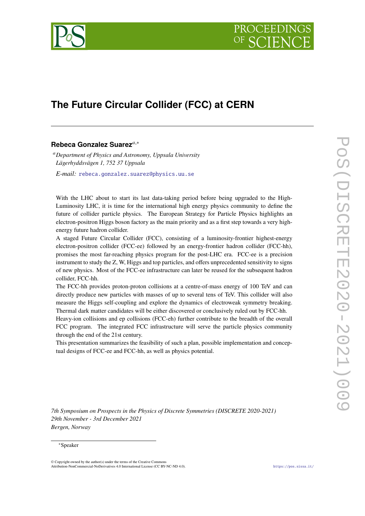

# **The Future Circular Collider (FCC) at CERN**

# **Rebeca Gonzalez Suarez**,<sup>∗</sup>

*Department of Physics and Astronomy, Uppsala University Lägerhyddsvägen 1, 752 37 Uppsala*

*E-mail:* [rebeca.gonzalez.suarez@physics.uu.se](mailto:rebeca.gonzalez.suarez@physics.uu.se)

With the LHC about to start its last data-taking period before being upgraded to the High-Luminosity LHC, it is time for the international high energy physics community to define the future of collider particle physics. The European Strategy for Particle Physics highlights an electron-positron Higgs boson factory as the main priority and as a first step towards a very highenergy future hadron collider.

A staged Future Circular Collider (FCC), consisting of a luminosity-frontier highest-energy electron-positron collider (FCC-ee) followed by an energy-frontier hadron collider (FCC-hh), promises the most far-reaching physics program for the post-LHC era. FCC-ee is a precision instrument to study the Z, W, Higgs and top particles, and offers unprecedented sensitivity to signs of new physics. Most of the FCC-ee infrastructure can later be reused for the subsequent hadron collider, FCC-hh.

The FCC-hh provides proton-proton collisions at a centre-of-mass energy of 100 TeV and can directly produce new particles with masses of up to several tens of TeV. This collider will also measure the Higgs self-coupling and explore the dynamics of electroweak symmetry breaking. Thermal dark matter candidates will be either discovered or conclusively ruled out by FCC-hh.

Heavy-ion collisions and ep collisions (FCC-eh) further contribute to the breadth of the overall FCC program. The integrated FCC infrastructure will serve the particle physics community through the end of the 21st century.

This presentation summarizes the feasibility of such a plan, possible implementation and conceptual designs of FCC-ee and FCC-hh, as well as physics potential.

*7th Symposium on Prospects in the Physics of Discrete Symmetries (DISCRETE 2020-2021) 29th November - 3rd December 2021 Bergen, Norway*

#### <sup>∗</sup>Speaker

© Copyright owned by the author(s) under the terms of the Creative Commons Attribution-NonCommercial-NoDerivatives 4.0 International License (CC BY-NC-ND 4.0). <https://pos.sissa.it/>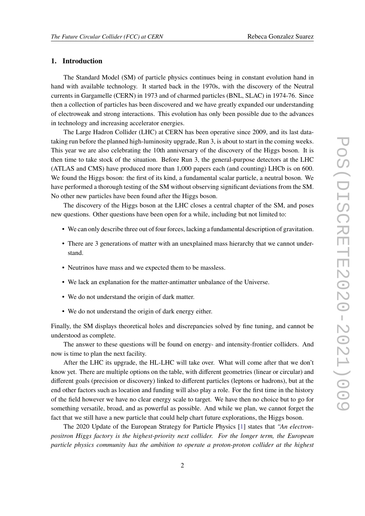#### **1. Introduction**

The Standard Model (SM) of particle physics continues being in constant evolution hand in hand with available technology. It started back in the 1970s, with the discovery of the Neutral currents in Gargamelle (CERN) in 1973 and of charmed particles (BNL, SLAC) in 1974-76. Since then a collection of particles has been discovered and we have greatly expanded our understanding of electroweak and strong interactions. This evolution has only been possible due to the advances in technology and increasing accelerator energies.

The Large Hadron Collider (LHC) at CERN has been operative since 2009, and its last datataking run before the planned high-luminosity upgrade, Run 3, is about to start in the coming weeks. This year we are also celebrating the 10th anniversary of the discovery of the Higgs boson. It is then time to take stock of the situation. Before Run 3, the general-purpose detectors at the LHC (ATLAS and CMS) have produced more than 1,000 papers each (and counting) LHCb is on 600. We found the Higgs boson: the first of its kind, a fundamental scalar particle, a neutral boson. We have performed a thorough testing of the SM without observing significant deviations from the SM. No other new particles have been found after the Higgs boson.

The discovery of the Higgs boson at the LHC closes a central chapter of the SM, and poses new questions. Other questions have been open for a while, including but not limited to:

- We can only describe three out of four forces, lacking a fundamental description of gravitation.
- There are 3 generations of matter with an unexplained mass hierarchy that we cannot understand.
- Neutrinos have mass and we expected them to be massless.
- We lack an explanation for the matter-antimatter unbalance of the Universe.
- We do not understand the origin of dark matter.
- We do not understand the origin of dark energy either.

Finally, the SM displays theoretical holes and discrepancies solved by fine tuning, and cannot be understood as complete.

The answer to these questions will be found on energy- and intensity-frontier colliders. And now is time to plan the next facility.

After the LHC its upgrade, the HL-LHC will take over. What will come after that we don't know yet. There are multiple options on the table, with different geometries (linear or circular) and different goals (precision or discovery) linked to different particles (leptons or hadrons), but at the end other factors such as location and funding will also play a role. For the first time in the history of the field however we have no clear energy scale to target. We have then no choice but to go for something versatile, broad, and as powerful as possible. And while we plan, we cannot forget the fact that we still have a new particle that could help chart future explorations, the Higgs boson.

The 2020 Update of the European Strategy for Particle Physics [\[1\]](#page-7-0) states that *"An electronpositron Higgs factory is the highest-priority next collider. For the longer term, the European particle physics community has the ambition to operate a proton-proton collider at the highest*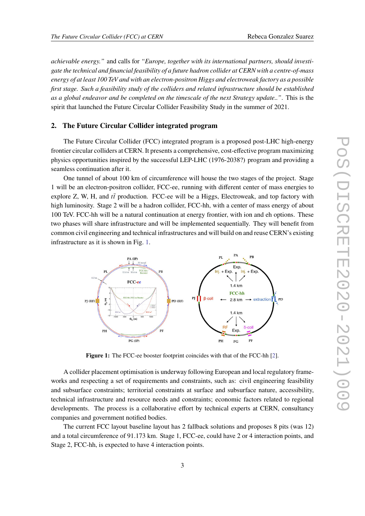*achievable energy."* and calls for *"Europe, together with its international partners, should investigate the technical and financial feasibility of a future hadron collider at CERN with a centre-of-mass energy of at least 100 TeV and with an electron-positron Higgs and electroweak factory as a possible first stage. Such a feasibility study of the colliders and related infrastructure should be established as a global endeavor and be completed on the timescale of the next Strategy update.."*. This is the spirit that launched the Future Circular Collider Feasibility Study in the summer of 2021.

## **2. The Future Circular Collider integrated program**

The Future Circular Collider (FCC) integrated program is a proposed post-LHC high-energy frontier circular colliders at CERN. It presents a comprehensive, cost-effective program maximizing physics opportunities inspired by the successful LEP-LHC (1976-2038?) program and providing a seamless continuation after it.

One tunnel of about 100 km of circumference will house the two stages of the project. Stage 1 will be an electron-positron collider, FCC-ee, running with different center of mass energies to explore Z, W, H, and  $t\bar{t}$  production. FCC-ee will be a Higgs, Electroweak, and top factory with high luminosity. Stage 2 will be a hadron collider, FCC-hh, with a center of mass energy of about 100 TeV. FCC-hh will be a natural continuation at energy frontier, with ion and eh options. These two phases will share infrastructure and will be implemented sequentially. They will benefit from common civil engineering and technical infrastructures and will build on and reuse CERN's existing infrastructure as it is shown in Fig. [1.](#page-2-0)

<span id="page-2-0"></span>

Figure 1: The FCC-ee booster footprint coincides with that of the FCC-hh [\[2\]](#page-7-1).

A collider placement optimisation is underway following European and local regulatory frameworks and respecting a set of requirements and constraints, such as: civil engineering feasibility and subsurface constraints; territorial constraints at surface and subsurface nature, accessibility, technical infrastructure and resource needs and constraints; economic factors related to regional developments. The process is a collaborative effort by technical experts at CERN, consultancy companies and government notified bodies.

The current FCC layout baseline layout has 2 fallback solutions and proposes 8 pits (was 12) and a total circumference of 91.173 km. Stage 1, FCC-ee, could have 2 or 4 interaction points, and Stage 2, FCC-hh, is expected to have 4 interaction points.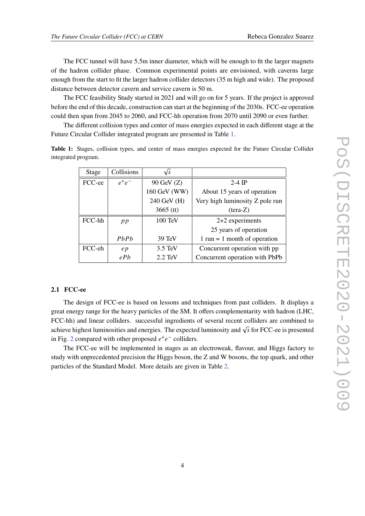The FCC tunnel will have 5.5m inner diameter, which will be enough to fit the larger magnets of the hadron collider phase. Common experimental points are envisioned, with caverns large enough from the start to fit the larger hadron collider detectors (35 m high and wide). The proposed distance between detector cavern and service cavern is 50 m.

The FCC feasibility Study started in 2021 and will go on for 5 years. If the project is approved before the end of this decade, construction can start at the beginning of the 2030s. FCC-ee operation could then span from 2045 to 2060, and FCC-hh operation from 2070 until 2090 or even further.

The different collision types and center of mass energies expected in each different stage at the Future Circular Collider integrated program are presented in Table [1.](#page-3-0)

| <b>Stage</b> | Collisions | $\sqrt{s}$        |                                                |  |
|--------------|------------|-------------------|------------------------------------------------|--|
| FCC-ee       | $e^+e^-$   | 90 GeV (Z)        | $2-4$ IP                                       |  |
|              |            | 160 GeV (WW)      | About 15 years of operation                    |  |
|              |            | 240 GeV (H)       | Very high luminosity Z pole run                |  |
|              |            | $3665$ (tt)       | $(tera-Z)$                                     |  |
| FCC-hh       | p p        | 100 TeV           | 2+2 experiments                                |  |
|              |            |                   | 25 years of operation                          |  |
|              | PhPh       | $39 \text{ TeV}$  | $1 \text{ run} = 1 \text{ month of operation}$ |  |
| FCC-eh       | ep         | $3.5 \text{ TeV}$ | Concurrent operation with pp                   |  |
|              | ePb        | $2.2$ TeV         | Concurrent operation with PbPb                 |  |

<span id="page-3-0"></span>**Table 1:** Stages, collision types, and center of mass energies expected for the Future Circular Collider integrated program.

#### **2.1 FCC-ee**

The design of FCC-ee is based on lessons and techniques from past colliders. It displays a great energy range for the heavy particles of the SM. It offers complementarity with hadron (LHC, FCC-hh) and linear colliders. successful ingredients of several recent colliders are combined to achieve highest luminosities and energies. The expected luminosity and  $\sqrt{s}$  for FCC-ee is presented in Fig. [2](#page-4-0) compared with other proposed  $e^+e^-$  colliders.

The FCC-ee will be implemented in stages as an electroweak, flavour, and Higgs factory to study with unprecedented precision the Higgs boson, the Z and W bosons, the top quark, and other particles of the Standard Model. More details are given in Table [2.](#page-4-1)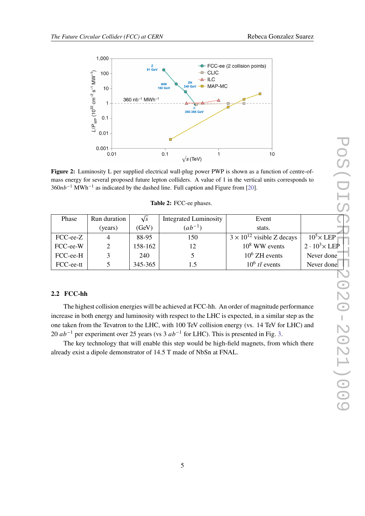<span id="page-4-0"></span>

**Figure 2:** Luminosity L per supplied electrical wall-plug power PWP is shown as a function of centre-ofmass energy for several proposed future lepton colliders. A value of 1 in the vertical units corresponds to  $360nb^{-1}$  MWh<sup>-1</sup> as indicated by the dashed line. Full caption and Figure from [\[20\]](#page-8-0).

<span id="page-4-1"></span>

| Run duration   | $\sqrt{s}$ | <b>Integrated Luminosity</b> | Event                               |                                  |
|----------------|------------|------------------------------|-------------------------------------|----------------------------------|
| (years)        | (GeV)      | $(ab^{-1})$                  | stats.                              |                                  |
| $\overline{4}$ | 88-95      | 150                          | $3 \times 10^{12}$ visible Z decays | $10^5\times$ LEP                 |
|                | 158-162    | 12                           | $10^8$ WW events                    | $2 \cdot 10^3 \times \text{LEP}$ |
|                | 240        |                              | $10^6$ ZH events                    | Never done                       |
|                | 345-365    | 1.5                          | $10^6$ tt events                    | Never done                       |
|                |            |                              |                                     |                                  |

## **Table 2:** FCC-ee phases.

# **2.2 FCC-hh**

The highest collision energies will be achieved at FCC-hh. An order of magnitude performance increase in both energy and luminosity with respect to the LHC is expected, in a similar step as the one taken from the Tevatron to the LHC, with 100 TeV collision energy (vs. 14 TeV for LHC) and 20  $ab^{-1}$  per experiment over 25 years (vs 3  $ab^{-1}$  for LHC). This is presented in Fig. [3.](#page-5-0)

The key technology that will enable this step would be high-field magnets, from which there already exist a dipole demonstrator of 14.5 T made of NbSn at FNAL.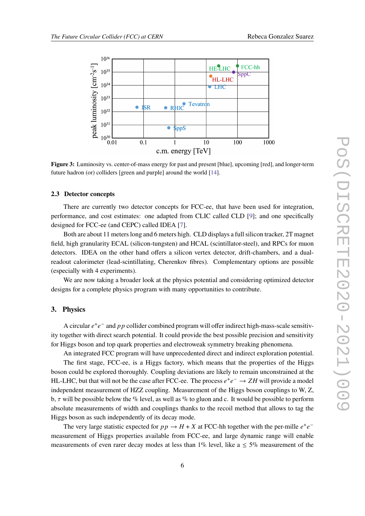<span id="page-5-0"></span>

**Figure 3:** Luminosity vs. center-of-mass energy for past and present [blue], upcoming [red], and longer-term future hadron (or) colliders [green and purple] around the world [\[14\]](#page-7-2).

#### **2.3 Detector concepts**

There are currently two detector concepts for FCC-ee, that have been used for integration, performance, and cost estimates: one adapted from CLIC called CLD [\[9\]](#page-7-3); and one specifically designed for FCC-ee (and CEPC) called IDEA [\[7\]](#page-7-4).

Both are about 11 meters long and 6 meters high. CLD displays a full silicon tracker, 2T magnet field, high granularity ECAL (silicon-tungsten) and HCAL (scintillator-steel), and RPCs for muon detectors. IDEA on the other hand offers a silicon vertex detector, drift-chambers, and a dualreadout calorimeter (lead-scintillating, Cherenkov fibres). Complementary options are possible (especially with 4 experiments).

We are now taking a broader look at the physics potential and considering optimized detector designs for a complete physics program with many opportunities to contribute.

#### **3. Physics**

A circular  $e^+e^-$  and pp collider combined program will offer indirect high-mass-scale sensitivity together with direct search potential. It could provide the best possible precision and sensitivity for Higgs boson and top quark properties and electroweak symmetry breaking phenomena.

An integrated FCC program will have unprecedented direct and indirect exploration potential.

The first stage, FCC-ee, is a Higgs factory, which means that the properties of the Higgs boson could be explored thoroughly. Coupling deviations are likely to remain unconstrained at the HL-LHC, but that will not be the case after FCC-ee. The process  $e^+e^- \rightarrow ZH$  will provide a model independent measurement of HZZ coupling. Measurement of the Higgs boson couplings to W, Z, b,  $\tau$  will be possible below the % level, as well as % to gluon and c. It would be possible to perform absolute measurements of width and couplings thanks to the recoil method that allows to tag the Higgs boson as such independently of its decay mode.

The very large statistic expected for  $pp \rightarrow H + X$  at FCC-hh together with the per-mille  $e^+e^$ measurement of Higgs properties available from FCC-ee, and large dynamic range will enable measurements of even rarer decay modes at less than 1% level, like  $a \le 5\%$  measurement of the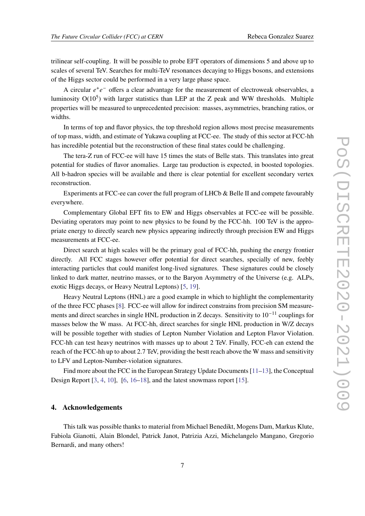trilinear self-coupling. It will be possible to probe EFT operators of dimensions 5 and above up to scales of several TeV. Searches for multi-TeV resonances decaying to Higgs bosons, and extensions of the Higgs sector could be performed in a very large phase space.

A circular  $e^+e^-$  offers a clear advantage for the measurement of electroweak observables, a luminosity  $O(10^5)$  with larger statistics than LEP at the Z peak and WW thresholds. Multiple properties will be measured to unprecedented precision: masses, asymmetries, branching ratios, or widths.

In terms of top and flavor physics, the top threshold region allows most precise measurements of top mass, width, and estimate of Yukawa coupling at FCC-ee. The study of this sector at FCC-hh has incredible potential but the reconstruction of these final states could be challenging.

The tera-Z run of FCC-ee will have 15 times the stats of Belle stats. This translates into great potential for studies of flavor anomalies. Large tau production is expected, in boosted topologies. All b-hadron species will be available and there is clear potential for excellent secondary vertex reconstruction.

Experiments at FCC-ee can cover the full program of LHCb & Belle II and compete favourably everywhere.

Complementary Global EFT fits to EW and Higgs observables at FCC-ee will be possible. Deviating operators may point to new physics to be found by the FCC-hh. 100 TeV is the appropriate energy to directly search new physics appearing indirectly through precision EW and Higgs measurements at FCC-ee.

Direct search at high scales will be the primary goal of FCC-hh, pushing the energy frontier directly. All FCC stages however offer potential for direct searches, specially of new, feebly interacting particles that could manifest long-lived signatures. These signatures could be closely linked to dark matter, neutrino masses, or to the Baryon Asymmetry of the Universe (e.g. ALPs, exotic Higgs decays, or Heavy Neutral Leptons) [\[5,](#page-7-5) [19\]](#page-8-1).

Heavy Neutral Leptons (HNL) are a good example in which to highlight the complementarity of the three FCC phases [\[8\]](#page-7-6). FCC-ee will allow for indirect constrains from precision SM measurements and direct searches in single HNL production in Z decays. Sensitivity to  $10^{-11}$  couplings for masses below the W mass. At FCC-hh, direct searches for single HNL production in W/Z decays will be possible together with studies of Lepton Number Violation and Lepton Flavor Violation. FCC-hh can test heavy neutrinos with masses up to about 2 TeV. Finally, FCC-eh can extend the reach of the FCC-hh up to about 2.7 TeV, providing the bestt reach above the W mass and sensitivity to LFV and Lepton-Number-violation signatures.

Find more about the FCC in the European Strategy Update Documents [\[11](#page-7-7)[–13\]](#page-7-8), the Conceptual Design Report [\[3,](#page-7-9) [4,](#page-7-10) [10\]](#page-7-11), [\[6,](#page-7-12) [16](#page-8-2)[–18\]](#page-8-3), and the latest snowmass report [\[15\]](#page-7-13).

## **4. Acknowledgements**

This talk was possible thanks to material from Michael Benedikt, Mogens Dam, Markus Klute, Fabiola Gianotti, Alain Blondel, Patrick Janot, Patrizia Azzi, Michelangelo Mangano, Gregorio Bernardi, and many others!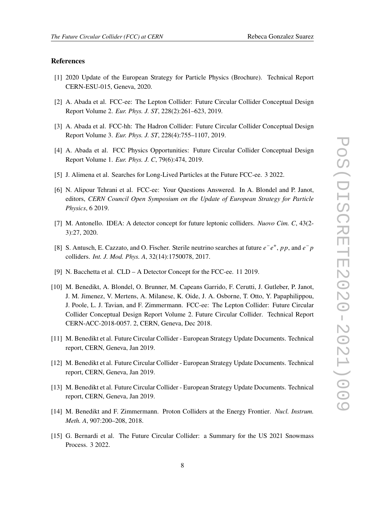#### **References**

- <span id="page-7-0"></span>[1] 2020 Update of the European Strategy for Particle Physics (Brochure). Technical Report CERN-ESU-015, Geneva, 2020.
- <span id="page-7-1"></span>[2] A. Abada et al. FCC-ee: The Lepton Collider: Future Circular Collider Conceptual Design Report Volume 2. *Eur. Phys. J. ST*, 228(2):261–623, 2019.
- <span id="page-7-9"></span>[3] A. Abada et al. FCC-hh: The Hadron Collider: Future Circular Collider Conceptual Design Report Volume 3. *Eur. Phys. J. ST*, 228(4):755–1107, 2019.
- <span id="page-7-10"></span>[4] A. Abada et al. FCC Physics Opportunities: Future Circular Collider Conceptual Design Report Volume 1. *Eur. Phys. J. C*, 79(6):474, 2019.
- <span id="page-7-5"></span>[5] J. Alimena et al. Searches for Long-Lived Particles at the Future FCC-ee. 3 2022.
- <span id="page-7-12"></span>[6] N. Alipour Tehrani et al. FCC-ee: Your Questions Answered. In A. Blondel and P. Janot, editors, *CERN Council Open Symposium on the Update of European Strategy for Particle Physics*, 6 2019.
- <span id="page-7-4"></span>[7] M. Antonello. IDEA: A detector concept for future leptonic colliders. *Nuovo Cim. C*, 43(2- 3):27, 2020.
- <span id="page-7-6"></span>[8] S. Antusch, E. Cazzato, and O. Fischer. Sterile neutrino searches at future  $e^-e^+$ , pp, and  $e^-p$ colliders. *Int. J. Mod. Phys. A*, 32(14):1750078, 2017.
- <span id="page-7-3"></span>[9] N. Bacchetta et al. CLD – A Detector Concept for the FCC-ee. 11 2019.
- <span id="page-7-11"></span>[10] M. Benedikt, A. Blondel, O. Brunner, M. Capeans Garrido, F. Cerutti, J. Gutleber, P. Janot, J. M. Jimenez, V. Mertens, A. Milanese, K. Oide, J. A. Osborne, T. Otto, Y. Papaphilippou, J. Poole, L. J. Tavian, and F. Zimmermann. FCC-ee: The Lepton Collider: Future Circular Collider Conceptual Design Report Volume 2. Future Circular Collider. Technical Report CERN-ACC-2018-0057. 2, CERN, Geneva, Dec 2018.
- <span id="page-7-7"></span>[11] M. Benedikt et al. Future Circular Collider - European Strategy Update Documents. Technical report, CERN, Geneva, Jan 2019.
- [12] M. Benedikt et al. Future Circular Collider European Strategy Update Documents. Technical report, CERN, Geneva, Jan 2019.
- <span id="page-7-8"></span>[13] M. Benedikt et al. Future Circular Collider - European Strategy Update Documents. Technical report, CERN, Geneva, Jan 2019.
- <span id="page-7-2"></span>[14] M. Benedikt and F. Zimmermann. Proton Colliders at the Energy Frontier. *Nucl. Instrum. Meth. A*, 907:200–208, 2018.
- <span id="page-7-13"></span>[15] G. Bernardi et al. The Future Circular Collider: a Summary for the US 2021 Snowmass Process. 3 2022.